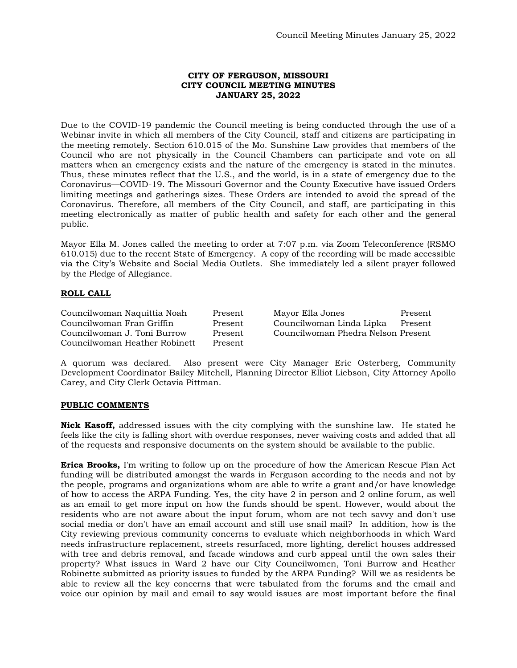## **CITY OF FERGUSON, MISSOURI CITY COUNCIL MEETING MINUTES JANUARY 25, 2022**

Due to the COVID-19 pandemic the Council meeting is being conducted through the use of a Webinar invite in which all members of the City Council, staff and citizens are participating in the meeting remotely. Section 610.015 of the Mo. Sunshine Law provides that members of the Council who are not physically in the Council Chambers can participate and vote on all matters when an emergency exists and the nature of the emergency is stated in the minutes. Thus, these minutes reflect that the U.S., and the world, is in a state of emergency due to the Coronavirus—COVID-19. The Missouri Governor and the County Executive have issued Orders limiting meetings and gatherings sizes. These Orders are intended to avoid the spread of the Coronavirus. Therefore, all members of the City Council, and staff, are participating in this meeting electronically as matter of public health and safety for each other and the general public.

Mayor Ella M. Jones called the meeting to order at 7:07 p.m. via Zoom Teleconference (RSMO 610.015) due to the recent State of Emergency. A copy of the recording will be made accessible via the City's Website and Social Media Outlets. She immediately led a silent prayer followed by the Pledge of Allegiance.

# **ROLL CALL**

Councilwoman Naquittia Noah Present Mayor Ella Jones Present Councilwoman J. Toni Burrow Present Councilwoman Phedra Nelson Present Councilwoman Heather Robinett Present

Present Councilwoman Linda Lipka Present

A quorum was declared. Also present were City Manager Eric Osterberg, Community Development Coordinator Bailey Mitchell, Planning Director Elliot Liebson, City Attorney Apollo Carey, and City Clerk Octavia Pittman.

## **PUBLIC COMMENTS**

**Nick Kasoff,** addressed issues with the city complying with the sunshine law. He stated he feels like the city is falling short with overdue responses, never waiving costs and added that all of the requests and responsive documents on the system should be available to the public.

**Erica Brooks,** I'm writing to follow up on the procedure of how the American Rescue Plan Act funding will be distributed amongst the wards in Ferguson according to the needs and not by the people, programs and organizations whom are able to write a grant and/or have knowledge of how to access the ARPA Funding. Yes, the city have 2 in person and 2 online forum, as well as an email to get more input on how the funds should be spent. However, would about the residents who are not aware about the input forum, whom are not tech savvy and don't use social media or don't have an email account and still use snail mail? In addition, how is the City reviewing previous community concerns to evaluate which neighborhoods in which Ward needs infrastructure replacement, streets resurfaced, more lighting, derelict houses addressed with tree and debris removal, and facade windows and curb appeal until the own sales their property? What issues in Ward 2 have our City Councilwomen, Toni Burrow and Heather Robinette submitted as priority issues to funded by the ARPA Funding? Will we as residents be able to review all the key concerns that were tabulated from the forums and the email and voice our opinion by mail and email to say would issues are most important before the final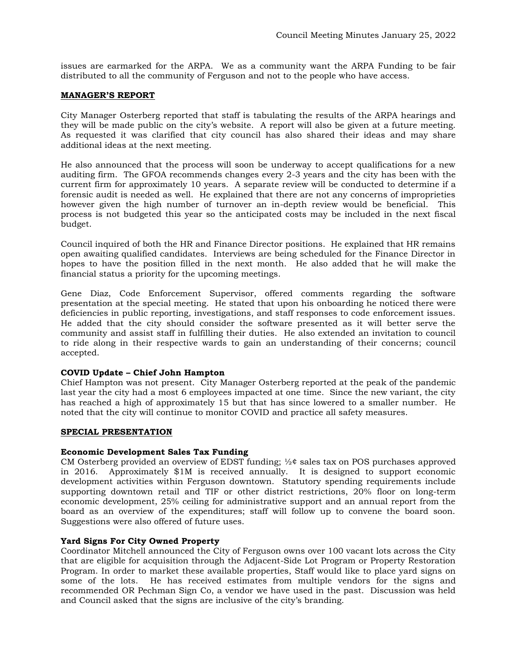issues are earmarked for the ARPA. We as a community want the ARPA Funding to be fair distributed to all the community of Ferguson and not to the people who have access.

### **MANAGER'S REPORT**

City Manager Osterberg reported that staff is tabulating the results of the ARPA hearings and they will be made public on the city's website. A report will also be given at a future meeting. As requested it was clarified that city council has also shared their ideas and may share additional ideas at the next meeting.

He also announced that the process will soon be underway to accept qualifications for a new auditing firm. The GFOA recommends changes every 2-3 years and the city has been with the current firm for approximately 10 years. A separate review will be conducted to determine if a forensic audit is needed as well. He explained that there are not any concerns of improprieties however given the high number of turnover an in-depth review would be beneficial. This process is not budgeted this year so the anticipated costs may be included in the next fiscal budget.

Council inquired of both the HR and Finance Director positions. He explained that HR remains open awaiting qualified candidates. Interviews are being scheduled for the Finance Director in hopes to have the position filled in the next month. He also added that he will make the financial status a priority for the upcoming meetings.

Gene Diaz, Code Enforcement Supervisor, offered comments regarding the software presentation at the special meeting. He stated that upon his onboarding he noticed there were deficiencies in public reporting, investigations, and staff responses to code enforcement issues. He added that the city should consider the software presented as it will better serve the community and assist staff in fulfilling their duties. He also extended an invitation to council to ride along in their respective wards to gain an understanding of their concerns; council accepted.

## **COVID Update – Chief John Hampton**

Chief Hampton was not present. City Manager Osterberg reported at the peak of the pandemic last year the city had a most 6 employees impacted at one time. Since the new variant, the city has reached a high of approximately 15 but that has since lowered to a smaller number. He noted that the city will continue to monitor COVID and practice all safety measures.

# **SPECIAL PRESENTATION**

## **Economic Development Sales Tax Funding**

CM Osterberg provided an overview of EDST funding;  $\frac{1}{2}$  sales tax on POS purchases approved in 2016. Approximately \$1M is received annually. It is designed to support economic development activities within Ferguson downtown. Statutory spending requirements include supporting downtown retail and TIF or other district restrictions, 20% floor on long-term economic development, 25% ceiling for administrative support and an annual report from the board as an overview of the expenditures; staff will follow up to convene the board soon. Suggestions were also offered of future uses.

## **Yard Signs For City Owned Property**

Coordinator Mitchell announced the City of Ferguson owns over 100 vacant lots across the City that are eligible for acquisition through the Adjacent-Side Lot Program or Property Restoration Program. In order to market these available properties, Staff would like to place yard signs on some of the lots. He has received estimates from multiple vendors for the signs and recommended OR Pechman Sign Co, a vendor we have used in the past. Discussion was held and Council asked that the signs are inclusive of the city's branding.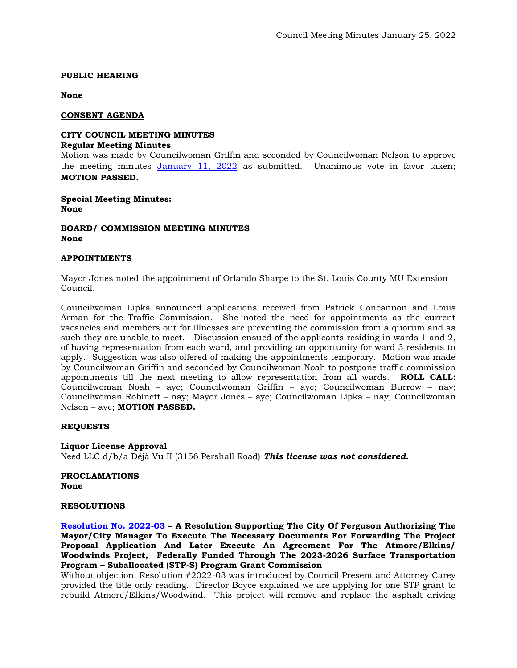## **PUBLIC HEARING**

**None**

### **CONSENT AGENDA**

#### **CITY COUNCIL MEETING MINUTES Regular Meeting Minutes**

Motion was made by Councilwoman Griffin and seconded by Councilwoman Nelson to approve the meeting minutes [January 11, 2022](https://www.fergusoncity.com/DocumentCenter/View/5537/Council-Meeting-Minutes-011122) as submitted. Unanimous vote in favor taken; **MOTION PASSED.** 

**Special Meeting Minutes: None**

**BOARD/ COMMISSION MEETING MINUTES None**

#### **APPOINTMENTS**

Mayor Jones noted the appointment of Orlando Sharpe to the St. Louis County MU Extension Council.

Councilwoman Lipka announced applications received from Patrick Concannon and Louis Arman for the Traffic Commission. She noted the need for appointments as the current vacancies and members out for illnesses are preventing the commission from a quorum and as such they are unable to meet. Discussion ensued of the applicants residing in wards 1 and 2, of having representation from each ward, and providing an opportunity for ward 3 residents to apply. Suggestion was also offered of making the appointments temporary. Motion was made by Councilwoman Griffin and seconded by Councilwoman Noah to postpone traffic commission appointments till the next meeting to allow representation from all wards. **ROLL CALL:**  Councilwoman Noah – aye; Councilwoman Griffin – aye; Councilwoman Burrow – nay; Councilwoman Robinett – nay; Mayor Jones – aye; Councilwoman Lipka – nay; Councilwoman Nelson – aye; **MOTION PASSED.** 

## **REQUESTS**

**Liquor License Approval** Need LLC d/b/a Déjà Vu II (3156 Pershall Road) *This license was not considered.* 

**PROCLAMATIONS None**

## **RESOLUTIONS**

**[Resolution No. 2022-03](https://www.fergusoncity.com/DocumentCenter/View/5536/Resolution-No-2022-03-STP-Atmore-elkins-woodwinds) – A Resolution Supporting The City Of Ferguson Authorizing The Mayor/City Manager To Execute The Necessary Documents For Forwarding The Project Proposal Application And Later Execute An Agreement For The Atmore/Elkins/ Woodwinds Project, Federally Funded Through The 2023-2026 Surface Transportation Program – Suballocated (STP-S) Program Grant Commission** 

Without objection, Resolution #2022-03 was introduced by Council Present and Attorney Carey provided the title only reading. Director Boyce explained we are applying for one STP grant to rebuild Atmore/Elkins/Woodwind. This project will remove and replace the asphalt driving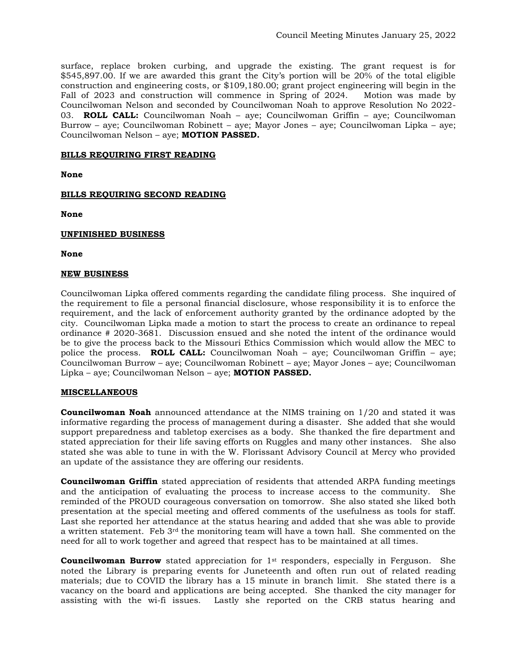surface, replace broken curbing, and upgrade the existing. The grant request is for \$545,897.00. If we are awarded this grant the City's portion will be 20% of the total eligible construction and engineering costs, or \$109,180.00; grant project engineering will begin in the Fall of 2023 and construction will commence in Spring of 2024. Motion was made by Councilwoman Nelson and seconded by Councilwoman Noah to approve Resolution No 2022- 03. **ROLL CALL:** Councilwoman Noah – aye; Councilwoman Griffin – aye; Councilwoman Burrow – aye; Councilwoman Robinett – aye; Mayor Jones – aye; Councilwoman Lipka – aye; Councilwoman Nelson – aye; **MOTION PASSED.**

## **BILLS REQUIRING FIRST READING**

**None** 

# **BILLS REQUIRING SECOND READING**

**None**

# **UNFINISHED BUSINESS**

**None**

## **NEW BUSINESS**

Councilwoman Lipka offered comments regarding the candidate filing process. She inquired of the requirement to file a personal financial disclosure, whose responsibility it is to enforce the requirement, and the lack of enforcement authority granted by the ordinance adopted by the city. Councilwoman Lipka made a motion to start the process to create an ordinance to repeal ordinance # 2020-3681. Discussion ensued and she noted the intent of the ordinance would be to give the process back to the Missouri Ethics Commission which would allow the MEC to police the process. **ROLL CALL:** Councilwoman Noah – aye; Councilwoman Griffin – aye; Councilwoman Burrow – aye; Councilwoman Robinett – aye; Mayor Jones – aye; Councilwoman Lipka – aye; Councilwoman Nelson – aye; **MOTION PASSED.**

## **MISCELLANEOUS**

**Councilwoman Noah** announced attendance at the NIMS training on 1/20 and stated it was informative regarding the process of management during a disaster. She added that she would support preparedness and tabletop exercises as a body. She thanked the fire department and stated appreciation for their life saving efforts on Ruggles and many other instances. She also stated she was able to tune in with the W. Florissant Advisory Council at Mercy who provided an update of the assistance they are offering our residents.

**Councilwoman Griffin** stated appreciation of residents that attended ARPA funding meetings and the anticipation of evaluating the process to increase access to the community. She reminded of the PROUD courageous conversation on tomorrow. She also stated she liked both presentation at the special meeting and offered comments of the usefulness as tools for staff. Last she reported her attendance at the status hearing and added that she was able to provide a written statement. Feb  $3<sup>rd</sup>$  the monitoring team will have a town hall. She commented on the need for all to work together and agreed that respect has to be maintained at all times.

**Councilwoman Burrow** stated appreciation for 1<sup>st</sup> responders, especially in Ferguson. She noted the Library is preparing events for Juneteenth and often run out of related reading materials; due to COVID the library has a 15 minute in branch limit. She stated there is a vacancy on the board and applications are being accepted. She thanked the city manager for assisting with the wi-fi issues. Lastly she reported on the CRB status hearing and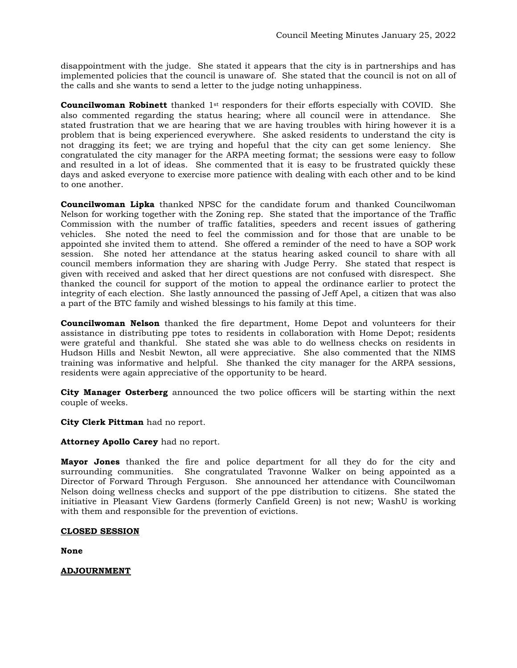disappointment with the judge. She stated it appears that the city is in partnerships and has implemented policies that the council is unaware of. She stated that the council is not on all of the calls and she wants to send a letter to the judge noting unhappiness.

**Councilwoman Robinett** thanked 1<sup>st</sup> responders for their efforts especially with COVID. She also commented regarding the status hearing; where all council were in attendance. She stated frustration that we are hearing that we are having troubles with hiring however it is a problem that is being experienced everywhere. She asked residents to understand the city is not dragging its feet; we are trying and hopeful that the city can get some leniency. She congratulated the city manager for the ARPA meeting format; the sessions were easy to follow and resulted in a lot of ideas. She commented that it is easy to be frustrated quickly these days and asked everyone to exercise more patience with dealing with each other and to be kind to one another.

**Councilwoman Lipka** thanked NPSC for the candidate forum and thanked Councilwoman Nelson for working together with the Zoning rep. She stated that the importance of the Traffic Commission with the number of traffic fatalities, speeders and recent issues of gathering vehicles. She noted the need to feel the commission and for those that are unable to be appointed she invited them to attend. She offered a reminder of the need to have a SOP work session. She noted her attendance at the status hearing asked council to share with all council members information they are sharing with Judge Perry. She stated that respect is given with received and asked that her direct questions are not confused with disrespect. She thanked the council for support of the motion to appeal the ordinance earlier to protect the integrity of each election. She lastly announced the passing of Jeff Apel, a citizen that was also a part of the BTC family and wished blessings to his family at this time.

**Councilwoman Nelson** thanked the fire department, Home Depot and volunteers for their assistance in distributing ppe totes to residents in collaboration with Home Depot; residents were grateful and thankful. She stated she was able to do wellness checks on residents in Hudson Hills and Nesbit Newton, all were appreciative. She also commented that the NIMS training was informative and helpful. She thanked the city manager for the ARPA sessions, residents were again appreciative of the opportunity to be heard.

**City Manager Osterberg** announced the two police officers will be starting within the next couple of weeks.

**City Clerk Pittman** had no report.

## **Attorney Apollo Carey** had no report.

**Mayor Jones** thanked the fire and police department for all they do for the city and surrounding communities. She congratulated Travonne Walker on being appointed as a Director of Forward Through Ferguson. She announced her attendance with Councilwoman Nelson doing wellness checks and support of the ppe distribution to citizens. She stated the initiative in Pleasant View Gardens (formerly Canfield Green) is not new; WashU is working with them and responsible for the prevention of evictions.

## **CLOSED SESSION**

**None**

**ADJOURNMENT**